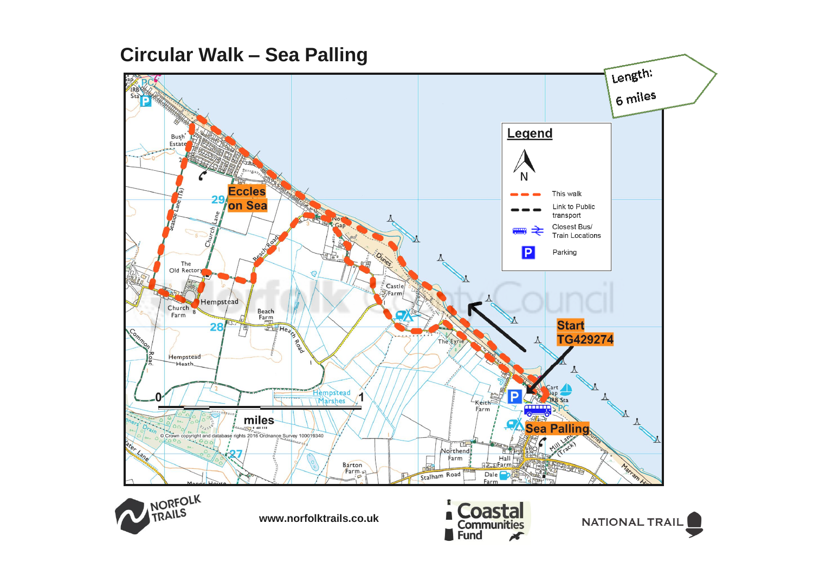